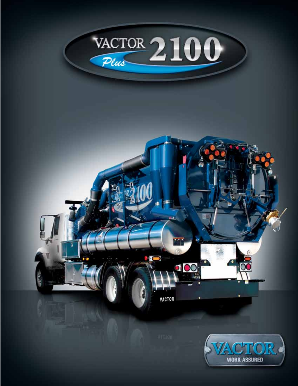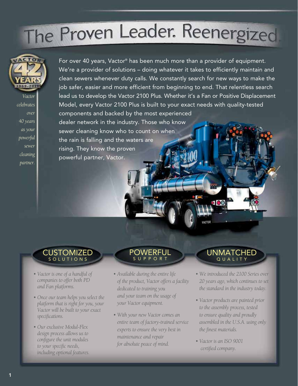# The Proven Leader. Reenergized



*Vactor celebrates over 40 years as your powerful sewer cleaning partner.*

For over 40 years, Vactor® has been much more than a provider of equipment. We're a provider of solutions – doing whatever it takes to efficiently maintain and clean sewers whenever duty calls. We constantly search for new ways to make the job safer, easier and more efficient from beginning to end. That relentless search lead us to develop the Vactor 2100 Plus. Whether it's a Fan or Positive Displacement Model, every Vactor 2100 Plus is built to your exact needs with quality-tested components and backed by the most experienced dealer network in the industry. Those who know sewer cleaning know who to count on when the rain is falling and the waters are

rising. They know the proven powerful partner, Vactor.

### **CUSTOMIZED** S O L U T I O N S

- *Vactor is one of a handful of companies to offer both PD and Fan platforms.*
- *Once our team helps you select the platform that is right for you, your Vactor will be built to your exact specifications.*
- *Our exclusive Modul-Flex design process allows us to configure the unit modules to your specific needs, including optional features.*

#### Powerful S U P P O R T

- *Available during the entire life of the product, Vactor offers a facility dedicated to training you and your team on the usage of your Vactor equipment.*
- *With your new Vactor comes an entire team of factory-trained service experts to ensure the very best in maintenance and repair for absolute peace of mind.*

### **UNMATCHED** Q U A L I T Y

- *We introduced the 2100 Series over 20 years ago, which continues to set the standard in the industry today.*
- *Vactor products are painted prior to the assembly process, tested to ensure quality and proudly assembled in the U.S.A. using only the finest materials.*
- *Vactor is an ISO 9001 certified company.*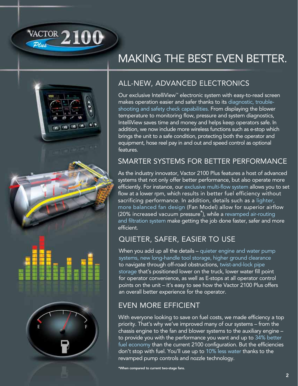

 $\frac{d\mathbf{r}}{d\mathbf{r}}\left(\mathbf{r}\right)\left(\mathbf{r}\right)\left(\mathbf{r}\right)\left(\mathbf{r}\right)$ 

# Making the Best Even Better.

### All-New, Advanced Electronics

Our exclusive IntelliView™ electronic system with easy-to-read screen makes operation easier and safer thanks to its diagnostic, troubleshooting and safety check capabilities. From displaying the blower temperature to monitoring flow, pressure and system diagnostics, IntelliView saves time and money and helps keep operators safe. In addition, we now include more wireless functions such as e-stop which brings the unit to a safe condition, protecting both the operator and equipment, hose reel pay in and out and speed control as optional features.

### Smarter Systems for Better Performance

As the industry innovator, Vactor 2100 Plus features a host of advanced systems that not only offer better performance, but also operate more efficiently. For instance, our exclusive multi-flow system allows you to set flow at a lower rpm, which results in better fuel efficiency without sacrificing performance. In addition, details such as a lighter, more balanced fan design (Fan Model) allow for superior airflow (20% increased vacuum pressure\*), while a revamped air-routing and filtration system make getting the job done faster, safer and more efficient.

### Quieter, Safer, Easier to Use

When you add up all the details – quieter engine and water pump systems, new long-handle tool storage, higher ground clearance to navigate through off-road obstructions, twist-and-lock pipe storage that's positioned lower on the truck, lower water fill point for operator convenience, as well as E-stops at all operator control points on the unit – it's easy to see how the Vactor 2100 Plus offers an overall better experience for the operator.

### Even More Efficient

With everyone looking to save on fuel costs, we made efficiency a top priority. That's why we've improved many of our systems – from the chassis engine to the fan and blower systems to the auxiliary engine – to provide you with the performance you want and up to 34% better fuel economy than the current 2100 configuration. But the efficiencies don't stop with fuel. You'll use up to 10% less water thanks to the revamped pump controls and nozzle technology.

\*When compared to current two-stage fans.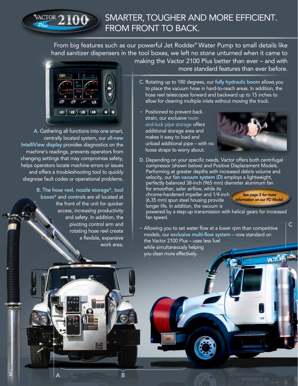### SMARTER, TOUGHER AND MORE EFFICIENT.  $\frac{\text{VACTOR}}{200}$ FROM FRONT TO BACK.

From big features such as our powerful Jet Rodder® Water Pump to small details like hand sanitizer dispensers in the tool boxes, we left no stone unturned when it came to making the Vactor 2100 Plus better than ever – and with



A. Gathering all functions into one smart, centrally located system, our all-new IntelliView display provides diagnostics on the machine's readings, prevents operators from changing settings that may compromise safety, helps operators locate machine errors or issues and offers a troubleshooting tool to quickly diagnose fault codes or operational problems.

> B. The hose reel, nozzle storage\*, tool boxes\* and controls are all located at the front of the unit for quicker access, increasing productivity and safety. In addition, the pivoting control arm and rotating hose reel create a flexible, expansive work area.

> > A B

3

more standard features than ever before.

- C. Rotating up to 180 degrees, our fully hydraulic boom allows you to place the vacuum hose in hard-to-reach areas. In addition, the hose reel telescopes forward and backward up to 15 inches to allow for cleaning multiple inlets without moving the truck.
- ~ Positioned to prevent back strain, our exclusive twistand-lock pipe storage offers additional storage area and makes it easy to load and unload additional pipe – with no loose straps to worry about.



D. Depending on your specific needs, Vactor offers both centrifugal compressor (shown below) and Positive Displacement Models. Performing at greater depths with increased debris volume and velocity, our fan vacuum system (D) employs a lightweight, perfectly balanced 38-inch (965 mm) diameter aluminum fan

for smoother, safer airflow, while its chrome-hardened impeller and 1/4-inch (6.35 mm) spun steel housing provide longer life. In addition, the vacuum is

*See page 5 for more information on our PD Model.*

C

powered by a step-up transmission with helical gears for increased fan speed.

~ Allowing you to set water flow at a lower rpm than competitive models, our exclusive multi-flow system – now standard on the Vactor 2100 Plus – uses less fuel while simultaneously helping you clean more effectively. **WCTOF**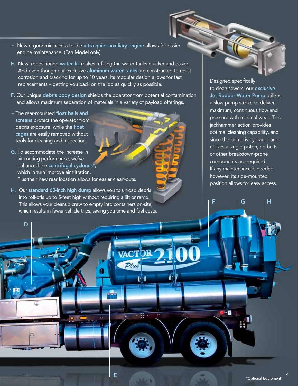- ~ New ergonomic access to the ultra-quiet auxiliary engine allows for easier engine maintenance. (Fan Model only)
- E. New, repositioned water fill makes refilling the water tanks quicker and easier. And even though our exclusive aluminum water tanks are constructed to resist corrosion and cracking for up to 10 years, its modular design allows for fast replacements – getting you back on the job as quickly as possible.
- F. Our unique debris body design shields the operator from potential contamination and allows maximum separation of materials in a variety of payload offerings.

E

Plus

ÌЧ

π

~ The rear-mounted float balls and screens protect the operator from debris exposure, while the float cages are easily removed without tools for cleaning and inspection.

D

- G. To accommodate the increase in air-routing performance, we've enhanced the centrifugal cyclones\*, which in turn improve air filtration. Plus their new rear location allows for easier clean-outs.
- H. Our standard 60-inch high dump allows you to unload debris into roll-offs up to 5-feet high without requiring a lift or ramp. This allows your cleanup crew to empty into containers on-site, which results in fewer vehicle trips, saving you time and fuel costs.

Designed specifically to clean sewers, our exclusive Jet Rodder Water Pump utilizes a slow pump stroke to deliver maximum, continuous flow and pressure with minimal wear. This jackhammer action provides optimal cleaning capability, and since the pump is hydraulic and utilizes a single piston, no belts or other breakdown-prone components are required. If any maintenance is needed, however, its side-mounted position allows for easy access.

F G H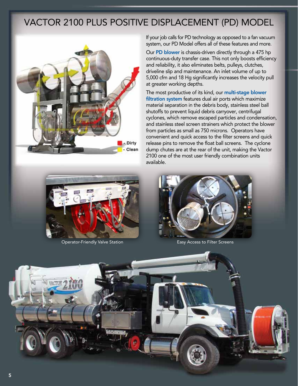### Vactor 2100 Plus Positive Displacement (PD) Model



If your job calls for PD technology as opposed to a fan vacuum system, our PD Model offers all of these features and more.

Our PD blower is chassis-driven directly through a 475 hp continuous-duty transfer case. This not only boosts efficiency and reliability, it also eliminates belts, pulleys, clutches, driveline slip and maintenance. An inlet volume of up to 5,000 cfm and 18 Hg significantly increases the velocity pull at greater working depths.

The most productive of its kind, our multi-stage blower filtration system features dual air ports which maximize material separation in the debris body, stainless steel ball shutoffs to prevent liquid debris carryover, centrifugal cyclones, which remove escaped particles and condensation, and stainless steel screen strainers which protect the blower from particles as small as 750 microns. Operators have convenient and quick access to the filter screens and quick release pins to remove the float ball screens. The cyclone dump chutes are at the rear of the unit, making the Vactor 2100 one of the most user friendly combination units available.



Operator-Friendly Valve Station **Easy Access to Filter Screens** 



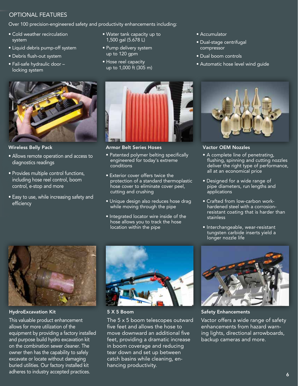#### Optional Features

Over 100 precision-engineered safety and productivity enhancements including:

- Cold weather recirculation system
- Liquid debris pump-off system
- Debris flush-out system
- Fail-safe hydraulic door locking system



Wireless Belly Pack

- Allows remote operation and access to diagnostics readings
- Provides multiple control functions, including hose reel control, boom control, e-stop and more
- Easy to use, while increasing safety and efficiency
- Water tank capacity up to 1,500 gal (5.678 L)
- Pump delivery system up to 120 gpm
- Hose reel capacity up to 1,000 ft (305 m)



#### Armor Belt Series Hoses

- Patented polymer belting specifically engineered for today's extreme conditions
- Exterior cover offers twice the protection of a standard thermoplastic hose cover to eliminate cover peel, cutting and crushing
- Unique design also reduces hose drag while moving through the pipe
- Integrated locator wire inside of the hose allows you to track the hose location within the pipe
- Accumulator
- Dual-stage centrifugal compressor
- Dual boom controls
- Automatic hose level wind guide



#### Vactor OEM Nozzles

- A complete line of penetrating, flushing, spinning and cutting nozzles deliver the right type of performance, all at an economical price
- Designed for a wide range of pipe diameters, run lengths and applications
- Crafted from low-carbon workhardened steel with a corrosionresistant coating that is harder than stainless
- Interchangeable, wear-resistant tungsten carbide inserts yield a longer nozzle life



HydroExcavation Kit

This valuable product enhancement allows for more utilization of the equipment by providing a factory installed and purpose build hydro excavation kit on the combination sewer cleaner. The owner then has the capability to safely excavate or locate without damaging buried utilities. Our factory installed kit adheres to industry accepted practices.



5 X 5 Boom

The 5 x 5 boom telescopes outward five feet and allows the hose to move downward an additional five feet, providing a dramatic increase in boom coverage and reducing tear down and set up between catch basins while cleaning, enhancing productivity.



Safety Enhancements

Vactor offers a wide range of safety enhancements from hazard warning lights, directional arrowboards, backup cameras and more.